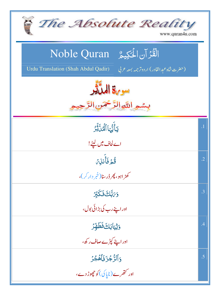| The Absolute Reality<br>www.quran4u.com                                                                                         |            |
|---------------------------------------------------------------------------------------------------------------------------------|------------|
| الْقُرْآنِ الْحَكِيمُ ِ Noble Quran<br><b>Urdu Translation (Shah Abdul Qadir)</b><br>(حضرت شاه عبدالقادر) اردوترجمه بمعه عربي ا |            |
| سوية المدَّثِر<br>بِسْمِ اللَّهِ الرَّحْمَنِ الرَّ                                                                              |            |
| يَأَيُّهَا ٱلْحَلَّةِ ُ                                                                                                         | $\cdot$ 1  |
| اے لحاف میں لیٹے!                                                                                                               |            |
| .<br>قُمۡ فَأَنلِ <i>نَ</i>                                                                                                     | $\cdot$ .2 |
| کھڑ <sub>اہم</sub> و، پھر ڈرسنا(خمر دار کر)،                                                                                    |            |
| <i>ۏ؆ڹ</i> ؖ۠ڵ <i>ڰ</i> ۏؘػػڹۣڒ                                                                                                 | .3         |
| اور اپنے رب کی بڑائی بول،                                                                                                       |            |
| <b>وَثِيَابَكَ فَطَهِّرُ</b>                                                                                                    | .4         |
| اوراپنے کپڑےصاف ر کھ،                                                                                                           |            |
| وَٱلرُّجْزَ فَأَهۡجُرُ                                                                                                          | .5         |
| اور تتھرے(ناپاکی)کوچھوڑ دے،                                                                                                     |            |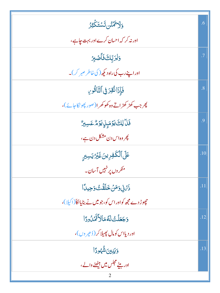| <u>وَلَاتْهُنُّن تَسْتَكَثِّرُ</u>                | .6  |
|---------------------------------------------------|-----|
| اور نہ کر کہ احسان کرے اور بہت جاہے،              |     |
| وَلِرَبَّكَ فَأَصَّلِا                            | .7  |
| اوراپنے رب کی راہ دیکھ ( کی خاطر صبر کر )۔        |     |
| فَإِذَانُقِرَ فِى ٱلتَّاَقُورِ                    | .8  |
| پھر جب کھڑ کھڑ اتے وہ کھو کھر ا(صور پھو نکاحائے)، |     |
| فَلَأَ لِكَ يَوْمَئِنِ يَوْمٌ عَسِيرٌ             | .9  |
| پھر وہ اس دن مشکل دن ہے ،                         |     |
| عَلَى ٱلْكَفِرِينَ غَيْرُيَسِبِرٍ                 | .10 |
| منگر وں پر نہیں آسان۔                             |     |
| ۮؘٙٙؽٙڹۣ۬ۅٙڡؘڽٛڂڶڡۘٙٛؾ۠ٷڿۑڷٵ                      | .11 |
| چپوڑ دے مجھ کواور اس کو،جومیں نے بنایااکا(اکیلا)، |     |
| <u>وَجَعَلْتُ لَهُمَالاً تَّهَٰنُ وَا</u>         | .12 |
| اور د پااس کومال پھیلا کر (ڈ ھیر وں)،             |     |
| وَيَيْيِنَ شُّهُودًا                              | .13 |
| اور بیٹے مجلس میں بیٹھنے والے ،<br>2              |     |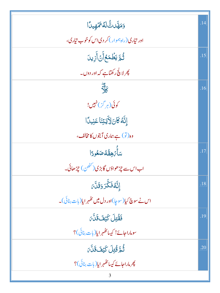| وَمَهَّدتٌّ لَّهُ يَمَّهِيدًا                                     | .14 |
|-------------------------------------------------------------------|-----|
| اور تیاری <i>( راه ہمو</i> ار ) کر دی اس کوخوب تیاری،             |     |
| ڐؙ <sub>ڟۜ</sub> ؾڟؘڡؘ <sup>ۣ</sup> ڴٳٲٙڽٲؘٛڔ۬ؠڹ                  | .15 |
| پھرلاپ <mark>ج</mark> رکھتاہے کہ اور دوں۔                         |     |
| $\frac{1}{\sqrt{2}}$                                              | .16 |
| کوئی(ہر گز)نہیں!                                                  |     |
| إِنَّهُ كَانَ لِأَيَتِنَا عَنِيدًا                                |     |
| دە(تو) ہے،ہاری آیتوں کامخالف،                                     |     |
| سَأَّ ُ هِقُّهُ صَعُودًا                                          | .17 |
| اب اس سے چڑھواؤں گابڑی( <sup>کٹھن</sup> ) چڑھائی۔                 |     |
| ٳڹَّةُ فَكَّرَ وَقَلَّمَ                                          | .18 |
| اس نے سوچ کیا(سوچا)اور دل میں تھُہر ایا(بات بنائی)۔               |     |
| فَقُّتِلَ كَيُفَ قَلَّ َ                                          | .19 |
| سوماراحائے! کیسائٹہمرایا(پات بنائی)؟                              |     |
| ٞ <sup>ؿ</sup> ۠ٞڡؖڒٙڡؙٛؾؚڶ <i>ۘ</i> ػؿ <i>ۣڡؘ</i> ٙڐؘڵ <i>ؖ؆</i> | .20 |
| پھر ماراحائے کیسا <i>کھہر</i> ایا( بات بنائی )؟                   |     |
| 3                                                                 |     |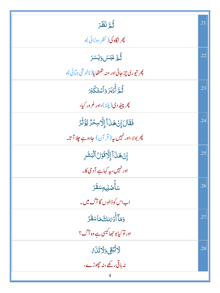| ثُمَّ نَظَرَ                                               | .21 |
|------------------------------------------------------------|-----|
| چرنگاه کی (نظر دوڑائی)،                                    |     |
| ثُّمَّ عَبَسَ وَبَسَرَ                                     | .22 |
| پھر تيوري چڙجائي اور منہ تھتھايا(ناخو شي جٽائي)،           |     |
| ثُمَّ أَدۡبَرَ وَٱسۡتَكۡبَرَ                               | .23 |
| پھر پی <sub>ٹھ</sub> دی(پاٹا)،اور غرور کیا،                |     |
| فَقَالَ إِنْ هَذَآ إِلَّاسِحُرٌ يُؤْثَرُ                   | .24 |
| پھر بولا،اور نہیں ہ <sub>ی</sub> ر ( قر آن) حادوے چلا آتا۔ |     |
| إِنۡ هَـٰٓنَ ٓآ إِلَّا قَوۡلُ ٱلۡبَشَرِ                    | .25 |
| اور نہیں، یہ کہاہے آدمی کا۔                                |     |
| ۺٲٛ <b>ڞؘڸ</b> ؠۣڢۺ <b>ڦ</b> ؘۯ                            | .26 |
| اب اس کوڈالوں گا آگ میں۔                                   |     |
| وَمَآأَدۡهَنلَّ مَاسَقَرُ                                  | .27 |
| اور تو کیابو جھا کیسی ہے وہ آگ؟                            |     |
| لاَتُّبْقِى وَلَاتَنَاهُ                                   | .28 |
| نہ ہاتی رکھے،نہ چھوڑے،                                     |     |
|                                                            |     |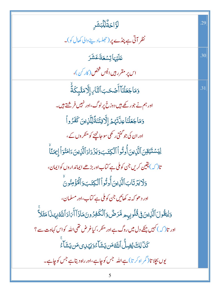| ڶۘڗۜٳڿۘڐ۠ڷۣڷڹۺؘڔ                                                                                    | .29 |
|-----------------------------------------------------------------------------------------------------|-----|
| نظر آتی ہے پنڈے پر (تجلسادینے والی کھال کو)۔                                                        |     |
| <i>عَلَيْهَاتِسْعَةَعَشَرَ</i>                                                                      | .30 |
| اس پر مقرر ہیں انیس شخص (کار کن)،                                                                   |     |
| وَمَاجَعَلْنَاۤ أَصۡحَبَ ٱلنَّارِ إِلَّا مَلَـٰٓئِكَةُ                                              | .31 |
| اور ہم نے جو رکھے ہیں دوزخ پر لوگ، اور نہیں فر شتے ہیں۔                                             |     |
| دَمَاجَعَلْنَاعِلَّتَهُمُ إِلَّافِتْنَةَّلِلَّٰذِينَ كَفَرُواْ                                      |     |
| اور ان کی جو گنتی ر کھی سو جانچنے کو منکر وں کے ،                                                   |     |
| ؚڶۣؽؘۺٙڐؽۊؚڹٱڷۜڹۣؾڹٲؙ۠ۏؾ۠ۅٱٲڷڮؾؘڹۏؘؾۯ۬ۮٳۮٲڷڷڕ۬ؾڹؘٵؚڡؘڹ۠ۊٲٳ۪ڝؘڹۧٵۛ                                   |     |
| تا ( کہ ) یقین کریں جن کوملی ہے کتاب اور بڑھے ایماند اروں کوایمان ،                                 |     |
| <u>و</u> َلَا يَزْتَابَ ٱلَّذِينَ أُوتُواْ ٱلْكِتَبَ وَٱلْمُؤْمِنُونَ                               |     |
| اور د ھو کہ نہ کھائیں جن کوملی ہے کتاب،اور مسلمان،                                                  |     |
| وَلِيَقُولَ ٱلَّذِينَ فِى قُلُوبِهِم مَّرَضٌ وَٱلْكَفِرُونَ مَاذَآ أَيَادَ ٱللَّهْبِهَـٰذَا مَثَلاً |     |
| اور تا $\mathcal{C}$ کہیں جنکے دل میں روگ ہے اور منکر ، کیاغرض تھی اللہ کواس کہاوت سے ؟             |     |
| ػٙ <i>ۮ</i> ٙڶڸڬٙ <i>ؽ۠ۻ</i> ڷ۠ٱڷڶ <i>ٙڟڞ</i> ؾۺؘٵۧۦ۠ۏؾؠۧڹ؈ڡؘڹؾۺؘٵؖۦٛ                               |     |
| یوں بچلا تا( گر اہ کر تا) ہے اللہ جس کو چاہے،اور راہ دیتا ہے جس کو چاہے۔                            |     |
|                                                                                                     |     |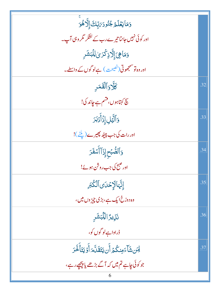| وَمَايَعۡلَمُ جُنُودَ؆ِبِّكَۚ إِلَّا هُوَ            |     |
|------------------------------------------------------|-----|
| اور کوئی نہیں جانتا تیرے رب کے لشکر مگر وہی آپ۔      |     |
| وَمَاهِىَ إِلَّاذٍ كَرَىٰ لِلْبَشَرِ                 |     |
| اور وہ تو سمجھوتی(نصیحت) ہےلو گوں کے واسطے۔          |     |
| كآر والقمر                                           | .32 |
| سچ کہتاہوں، قشم ہے جاند کی!                          |     |
| وَٱلَّيۡلِ إِذۡأَكۡبَرَ                              | .33 |
| اور رات کی جب پیٹھ پھیرے(پلٹے)!                      |     |
| وَٱلصُّبۡحِ إِذَآ أَشۡفَرَ                           | .34 |
| اور صبح کی جب روشن ہو ئے!                            |     |
| إِنَّهَالَإِحْدَى ٱلْكُبَرِ                          | .35 |
| وہ دوزخ ایک ہے، بڑی چیز وں میں،                      |     |
| <b>نَزِيرً</b> الِلَّبَشَرِ                          | .36 |
| ڈراداہےلو گوں کو،                                    |     |
| لِمَن شَأْءَمِنكُمُ أَن يَتَقَلَّهَ أَوۡ يَتَأَخَّرَ | .37 |
| جو کوئی چاہے تم میں کہ آگے بڑھے یا پیچھے رہے،        |     |
|                                                      |     |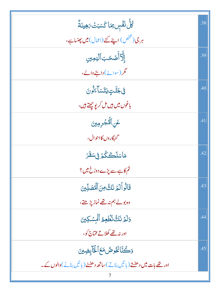| ڴڵٞ <sup>۩</sup> ۘڡۘٞٞڛؚ <i>ؚ</i> ؚۥٙ <i>ۿ</i> ٵػؘۘڛؘٮؘٞ؆ؚۿؚێٮؘةۜ۠     | .38 |
|------------------------------------------------------------------------|-----|
| ہر جی (شخص) اپنے کئے (اعمال) میں پھنساہے،                              |     |
| ٳٳؖ۠ۜٲٲ۠ڞؘػڹٲڷ <u>ؽ</u> ڡؚؾ <i>ۣ</i>                                   | .39 |
| مگر (سوائے) <b>د</b> اننے والے،                                        |     |
| <b>ڧڮڵٙؾٟڮ</b> ؾۺٲٷڷڹ                                                  | .40 |
| باغوں میں ہیں مل کر یو <u>جھتے</u> ہیں،                                |     |
| عَنِ ٱلۡٱجۡرِمِينَ                                                     | .41 |
| گنهگاروں کااحوال،                                                      |     |
| مَاسَلَكَكُمْ فِي سَقَرَ                                               | .42 |
| تم کاہے سے پڑے دوزخ میں ؟                                              |     |
| قَالُواْلَهُ نَكُونَ ٱلْمُصَلِّينَ                                     | .43 |
| وہ بولے ہم نہ تھے نماز پڑھتے ،                                         |     |
| وَلَمَرْ نَكُ نُظُعِمُ ٱلْمِسْكِينَ                                    | .44 |
| ادر نہ تھے کھلاتے مخیاج کو،                                            |     |
| 5كُنَّانَخُوصُ مَعَ ٱلْخَابِضِينَ                                      | .45 |
| اور تھے بات میں دھنتے (پا تیں بناتے)ساتھ دھننے (پا تیں بنانے)والوں کے۔ |     |
|                                                                        |     |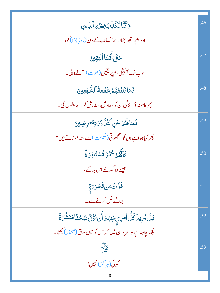| <u>وَكُنَّائُكَلِّ</u> بُ بِيَوُمِ ٱلدِّين                                                      | .46 |
|-------------------------------------------------------------------------------------------------|-----|
| اور ہم تھے جھٹلاتے انصاف کے دن(روزِ جزا) کو،                                                    |     |
| <b>حَتَّىَ أَتَّلنَا ٱلْيَقِينُ</b>                                                             | .47 |
| جب تک آئینچی ہم پریقین(موت) آنے والی۔                                                           |     |
| فَمَاتَنفَعُهُمۡ شَفَعَةُٱلشَّفِعِينَ                                                           | .48 |
| پھر کام نہ آئے گی ان کو سفارش، سفارش کرنے والوں کی۔                                             |     |
| فَمَالَهُمُ عَنِ ٱلتَّلْ كِرَةِمْعُرِضِينَ                                                      | .49 |
| پھر کیاہواہ ان کو منتجھوتی (نصیحت) سے منہ موڑتے ہیں؟                                            |     |
| كَأَنَّهُمْ مُحْمُرٌ مُّسْتَنفِرَةٌ                                                             | .50 |
| جیسے وہ گدھے ہیں بد کے ،                                                                        |     |
| ڣؘڗٞٮؿٙڝ؋ؾٙۺۅؘ؆ۣۊ                                                                               | .51 |
| کھاگے غل کرنے سے۔                                                                               |     |
| ؠؘڶؙێؗڔؚؠٮؗٛڴڵۘٲ <i>ڡ۫</i> ڔؠؚۣڡؚۨڹۡؠ۠ <sub>ۿ</sub> ٲۘڹ۩ؙۣػؘۣڷڞ <sup>ۣ</sup> ػڡؘ۠ٲڡۨ۠ٮؘؘۺ۠ۜڗۊؙؖ | .52 |
| .<br>بلکہ جاہتاہے ہر مر دان میں کہ اس کوملیں ورق(صحیفہ) کھلے۔                                   |     |
| $\frac{1}{6}$                                                                                   | .53 |
| کوئی(ہر گز)نہیں!                                                                                |     |
| 8                                                                                               |     |